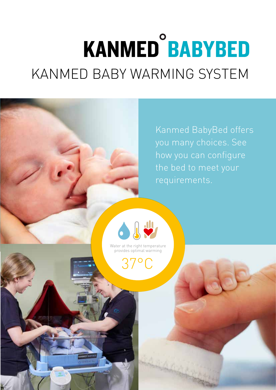# **KANMED<sup>°</sup>BABYBED** KANMED BABY WARMING SYSTEM

Kanmed BabyBed offers you many choices. See how you can configure the bed to meet your requirements.



Water at the right temperature provides optimal warming

37°C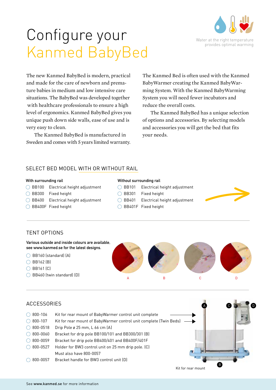



The new Kanmed BabyBed is modern, practical and made for the care of newborn and premature babies in medium and low intensive care situations. The BabyBed was developed together with healthcare professionals to ensure a high level of ergonomics. Kanmed BabyBed gives you unique push down side walls, ease of use and is very easy to clean.

The Kanmed BabyBed is manufactured in Sweden and comes with 5 years limited warranty.

The Kanmed Bed is often used with the Kanmed BabyWarmer creating the Kanmed BabyWarming System. With the Kanmed BabyWarming System you will need fewer incubators and reduce the overall costs.

The Kanmed BabyBed has a unique selection of options and accessories. By selecting models and accessories you will get the bed that fits your needs.

### SELECT BED MODEL WITH OR WITHOUT RAIL

- $\bigcirc$  BB100 Electrical height adjustment  $\bigcirc$  BB101 Electrical height adjustment
- $\bigcirc$  BB300 Fixed height  $\bigcirc$  BB301 Fixed height
- $\bigcirc$  BB400 Electrical height adjustment  $\bigcirc$  BB401 Electrical height adjustment
- $\bigcirc$  BB400F Fixed height  $\bigcirc$  BB401F Fixed height
- **With surrounding rail Without surrounding rail**
	-
	- -
		-
		-

## TENT OPTIONS



| <b>ACCESSORIES</b> |                                                                    |                    |  |
|--------------------|--------------------------------------------------------------------|--------------------|--|
| 800-106            | Kit for rear mount of BabyWarmer control unit complete             |                    |  |
| 800-107            | Kit for rear mount of BabyWarmer control unit complete (Twin Beds) |                    |  |
| 800-0518           | Drip Pole ø 25 mm, L 66 cm (A)                                     |                    |  |
| 800-0060           | Bracket for drip pole BB100/101 and BB300/301 (B)                  |                    |  |
| 800-0059           | Bracket for drip pole BB400/401 and BB400F/401F                    |                    |  |
| 800-0527           | Holder for BW3 control unit on 25 mm drip pole. (C)                |                    |  |
|                    | Must also have 800-0057                                            |                    |  |
| 800-0057           | Bracket handle for BW3 control unit (D)                            |                    |  |
|                    |                                                                    | Kit for rear mount |  |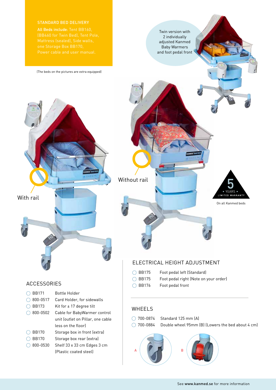(The beds on the pictures are extra equipped)

Twin version with 2 individually adjusted Kanmed Baby Warmers and foot pedal front

With rail

## ACCESSORIES

| <b>BB171</b> | Bottle Holder                     |
|--------------|-----------------------------------|
| 800-0517     | Card Holder, for sidewalls        |
| <b>BB173</b> | Kit for $\pm$ 17 degree tilt      |
| 800-0502     | Cable for BabyWarmer control      |
|              | unit (outlet on Pillar, one cable |
|              | less on the floorl                |
| <b>BB170</b> | Storage box in front (extra)      |
| <b>BB170</b> | Storage box rear (extra)          |
| 800-0530     | Shelf 33 x 33 cm Edges 3 cm       |
|              | (Plastic coated steel)            |



## ELECTRICAL HEIGHT ADJUSTMENT

- BB175 Foot pedal left (Standard)
- BB175 Foot pedal right (Note on your order)
- BB176 Foot pedal front

## WHEELS

- 700-0874 Standard 125 mm (A)
- 700-0884 Double wheel 95mm (B) (Lowers the bed about 4 cm)